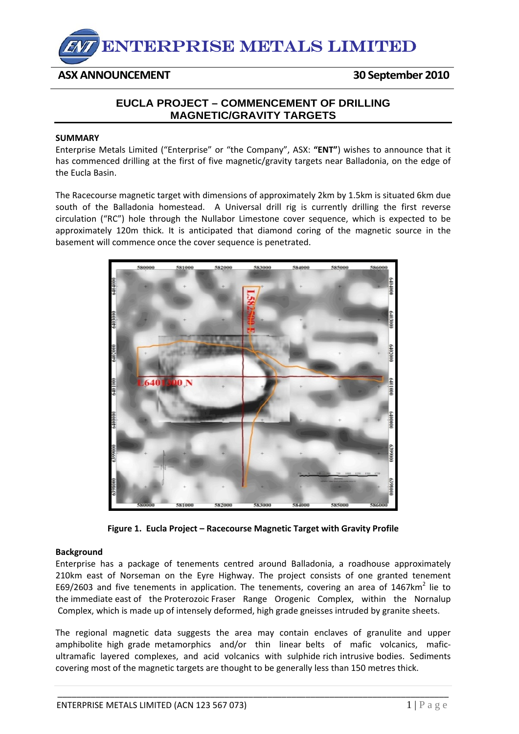

## **ASX ANNOUNCEMENT 30 September 2010**

## **EUCLA PROJECT – COMMENCEMENT OF DRILLING MAGNETIC/GRAVITY TARGETS**

## **SUMMARY**

Enterprise Metals Limited ("Enterprise" or "the Company", ASX: **"ENT"**) wishes to announce that it has commenced drilling at the first of five magnetic/gravity targets near Balladonia, on the edge of the Eucla Basin.

The Racecourse magnetic target with dimensions of approximately 2km by 1.5km is situated 6km due south of the Balladonia homestead. A Universal drill rig is currently drilling the first reverse circulation ("RC") hole through the Nullabor Limestone cover sequence, which is expected to be approximately 120m thick. It is anticipated that diamond coring of the magnetic source in the basement will commence once the cover sequence is penetrated.



**Figure 1. Eucla Project – Racecourse Magnetic Target with Gravity Profile**

## **Background**

Enterprise has a package of tenements centred around Balladonia, a roadhouse approximately 210km east of Norseman on the Eyre Highway. The project consists of one granted tenement E69/2603 and five tenements in application. The tenements, covering an area of 1467 $km^2$  lie to the immediate east of the Proterozoic Fraser Range Orogenic Complex, within the Nornalup Complex, which is made up of intensely deformed, high grade gneisses intruded by granite sheets.

The regional magnetic data suggests the area may contain enclaves of granulite and upper amphibolite high grade metamorphics and/or thin linear belts of mafic volcanics, maficultramafic layered complexes, and acid volcanics with sulphide rich intrusive bodies. Sediments covering most of the magnetic targets are thought to be generally less than 150 metres thick.

\_\_\_\_\_\_\_\_\_\_\_\_\_\_\_\_\_\_\_\_\_\_\_\_\_\_\_\_\_\_\_\_\_\_\_\_\_\_\_\_\_\_\_\_\_\_\_\_\_\_\_\_\_\_\_\_\_\_\_\_\_\_\_\_\_\_\_\_\_\_\_\_\_\_\_\_\_\_\_\_\_\_